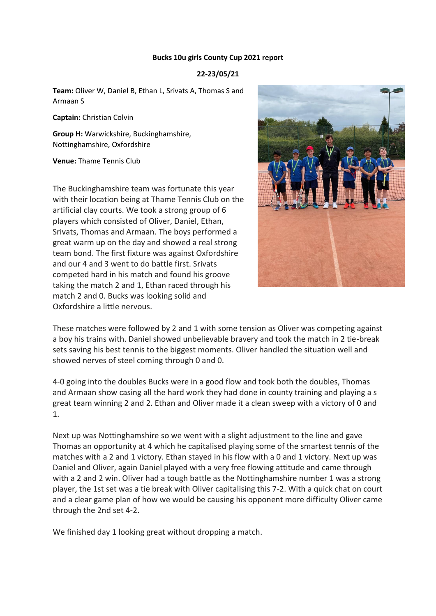## **Bucks 10u girls County Cup 2021 report**

## **22-23/05/21**

**Team:** Oliver W, Daniel B, Ethan L, Srivats A, Thomas S and Armaan S

**Captain:** Christian Colvin

**Group H:** Warwickshire, Buckinghamshire, Nottinghamshire, Oxfordshire

**Venue:** Thame Tennis Club

The Buckinghamshire team was fortunate this year with their location being at Thame Tennis Club on the artificial clay courts. We took a strong group of 6 players which consisted of Oliver, Daniel, Ethan, Srivats, Thomas and Armaan. The boys performed a great warm up on the day and showed a real strong team bond. The first fixture was against Oxfordshire and our 4 and 3 went to do battle first. Srivats competed hard in his match and found his groove taking the match 2 and 1, Ethan raced through his match 2 and 0. Bucks was looking solid and Oxfordshire a little nervous.



These matches were followed by 2 and 1 with some tension as Oliver was competing against a boy his trains with. Daniel showed unbelievable bravery and took the match in 2 tie-break sets saving his best tennis to the biggest moments. Oliver handled the situation well and showed nerves of steel coming through 0 and 0.

4-0 going into the doubles Bucks were in a good flow and took both the doubles, Thomas and Armaan show casing all the hard work they had done in county training and playing a s great team winning 2 and 2. Ethan and Oliver made it a clean sweep with a victory of 0 and 1.

Next up was Nottinghamshire so we went with a slight adjustment to the line and gave Thomas an opportunity at 4 which he capitalised playing some of the smartest tennis of the matches with a 2 and 1 victory. Ethan stayed in his flow with a 0 and 1 victory. Next up was Daniel and Oliver, again Daniel played with a very free flowing attitude and came through with a 2 and 2 win. Oliver had a tough battle as the Nottinghamshire number 1 was a strong player, the 1st set was a tie break with Oliver capitalising this 7-2. With a quick chat on court and a clear game plan of how we would be causing his opponent more difficulty Oliver came through the 2nd set 4-2.

We finished day 1 looking great without dropping a match.